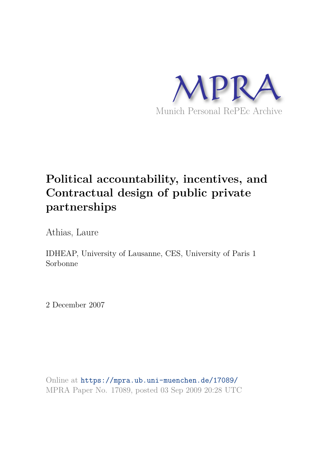

# **Political accountability, incentives, and Contractual design of public private partnerships**

Athias, Laure

IDHEAP, University of Lausanne, CES, University of Paris 1 Sorbonne

2 December 2007

Online at https://mpra.ub.uni-muenchen.de/17089/ MPRA Paper No. 17089, posted 03 Sep 2009 20:28 UTC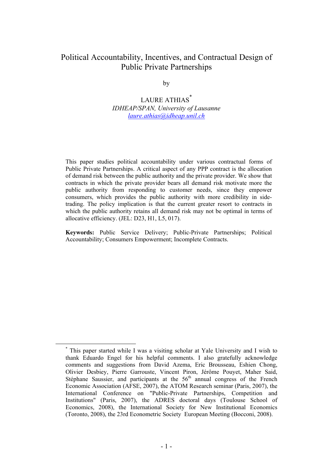## Political Accountability, Incentives, and Contractual Design of Public Private Partnerships

by

LAURE ATHIAS<sup>\*</sup> *IDHEAP/SPAN, University of Lausanne laure.athias@idheap.unil.ch*

This paper studies political accountability under various contractual forms of Public Private Partnerships. A critical aspect of any PPP contract is the allocation of demand risk between the public authority and the private provider. We show that contracts in which the private provider bears all demand risk motivate more the public authority from responding to customer needs, since they empower consumers, which provides the public authority with more credibility in sidetrading. The policy implication is that the current greater resort to contracts in which the public authority retains all demand risk may not be optimal in terms of allocative efficiency. (JEL: D23, H1, L5, 017).

**Keywords:** Public Service Delivery; Public-Private Partnerships; Political Accountability; Consumers Empowerment; Incomplete Contracts.

<sup>\*</sup> This paper started while I was a visiting scholar at Yale University and I wish to thank Eduardo Engel for his helpful comments. I also gratefully acknowledge comments and suggestions from David Azema, Eric Brousseau, Eshien Chong, Olivier Desbiey, Pierre Garrouste, Vincent Piron, Jérôme Pouyet, Maher Said, Stéphane Saussier, and participants at the  $56<sup>th</sup>$  annual congress of the French Economic Association (AFSE, 2007), the ATOM Research seminar (Paris, 2007), the International Conference on "Public-Private Partnerships, Competition and Institutions" (Paris, 2007), the ADRES doctoral days (Toulouse School of Economics, 2008), the International Society for New Institutional Economics (Toronto, 2008), the 23rd Econometric Society European Meeting (Bocconi, 2008).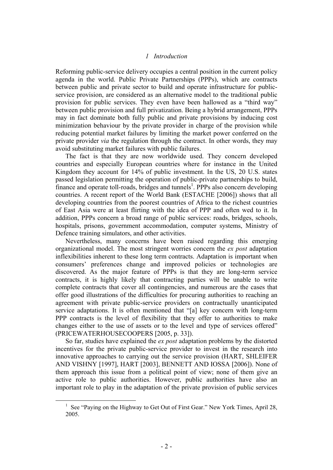#### *1 Introduction*

Reforming public-service delivery occupies a central position in the current policy agenda in the world. Public Private Partnerships (PPPs), which are contracts between public and private sector to build and operate infrastructure for publicservice provision, are considered as an alternative model to the traditional public provision for public services. They even have been hallowed as a "third way" between public provision and full privatization. Being a hybrid arrangement, PPPs may in fact dominate both fully public and private provisions by inducing cost minimization behaviour by the private provider in charge of the provision while reducing potential market failures by limiting the market power conferred on the private provider *via* the regulation through the contract. In other words, they may avoid substituting market failures with public failures.

The fact is that they are now worldwide used. They concern developed countries and especially European countries where for instance in the United Kingdom they account for 14% of public investment. In the US, 20 U.S. states passed legislation permitting the operation of public-private partnerships to build, finance and operate toll-roads, bridges and tunnels<sup>1</sup>. PPPs also concern developing countries. A recent report of the World Bank (ESTACHE [2006]) shows that all developing countries from the poorest countries of Africa to the richest countries of East Asia were at least flirting with the idea of PPP and often wed to it. In addition, PPPs concern a broad range of public services: roads, bridges, schools, hospitals, prisons, government accommodation, computer systems, Ministry of Defence training simulators, and other activities.

Nevertheless, many concerns have been raised regarding this emerging organizational model. The most stringent worries concern the *ex post* adaptation inflexibilities inherent to these long term contracts. Adaptation is important when consumers' preferences change and improved policies or technologies are discovered. As the major feature of PPPs is that they are long-term service contracts, it is highly likely that contracting parties will be unable to write complete contracts that cover all contingencies, and numerous are the cases that offer good illustrations of the difficulties for procuring authorities to reaching an agreement with private public-service providers on contractually unanticipated service adaptations. It is often mentioned that "[a] key concern with long-term PPP contracts is the level of flexibility that they offer to authorities to make changes either to the use of assets or to the level and type of services offered" (PRICEWATERHOUSECOOPERS [2005, p. 33]).

So far, studies have explained the *ex post* adaptation problems by the distorted incentives for the private public-service provider to invest in the research into innovative approaches to carrying out the service provision (HART, SHLEIFER AND VISHNY [1997], HART [2003], BENNETT AND IOSSA [2006]). None of them approach this issue from a political point of view; none of them give an active role to public authorities. However, public authorities have also an important role to play in the adaptation of the private provision of public services

<sup>&</sup>lt;sup>1</sup> See "Paying on the Highway to Get Out of First Gear." New York Times, April 28, 2005.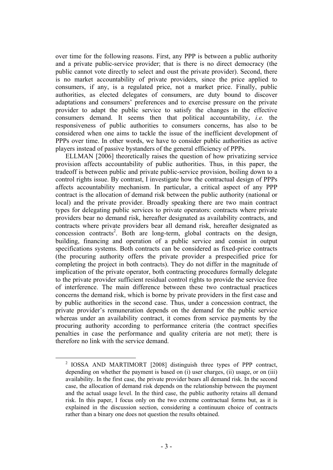over time for the following reasons. First, any PPP is between a public authority and a private public-service provider; that is there is no direct democracy (the public cannot vote directly to select and oust the private provider). Second, there is no market accountability of private providers, since the price applied to consumers, if any, is a regulated price, not a market price. Finally, public authorities, as elected delegates of consumers, are duty bound to discover adaptations and consumers' preferences and to exercise pressure on the private provider to adapt the public service to satisfy the changes in the effective consumers demand. It seems then that political accountability, *i.e.* the responsiveness of public authorities to consumers concerns, has also to be considered when one aims to tackle the issue of the inefficient development of PPPs over time. In other words, we have to consider public authorities as active players instead of passive bystanders of the general efficiency of PPPs.

ELLMAN [2006] theoretically raises the question of how privatizing service provision affects accountability of public authorities. Thus, in this paper, the tradeoff is between public and private public-service provision, boiling down to a control rights issue. By contrast, I investigate how the contractual design of PPPs affects accountability mechanism. In particular, a critical aspect of any PPP contract is the allocation of demand risk between the public authority (national or local) and the private provider. Broadly speaking there are two main contract types for delegating public services to private operators: contracts where private providers bear no demand risk, hereafter designated as availability contracts, and contracts where private providers bear all demand risk, hereafter designated as concession contracts<sup>2</sup>. Both are long-term, global contracts on the design, building, financing and operation of a public service and consist in output specifications systems. Both contracts can be considered as fixed-price contracts (the procuring authority offers the private provider a prespecified price for completing the project in both contracts). They do not differ in the magnitude of implication of the private operator, both contracting procedures formally delegate to the private provider sufficient residual control rights to provide the service free of interference. The main difference between these two contractual practices concerns the demand risk, which is borne by private providers in the first case and by public authorities in the second case. Thus, under a concession contract, the private provider's remuneration depends on the demand for the public service whereas under an availability contract, it comes from service payments by the procuring authority according to performance criteria (the contract specifies penalties in case the performance and quality criteria are not met); there is therefore no link with the service demand.

<sup>&</sup>lt;sup>2</sup> IOSSA AND MARTIMORT [2008] distinguish three types of PPP contract, depending on whether the payment is based on (i) user charges, (ii) usage, or on (iii) availability. In the first case, the private provider bears all demand risk. In the second case, the allocation of demand risk depends on the relationship between the payment and the actual usage level. In the third case, the public authority retains all demand risk. In this paper, I focus only on the two extreme contractual forms but, as it is explained in the discussion section, considering a continuum choice of contracts rather than a binary one does not question the results obtained.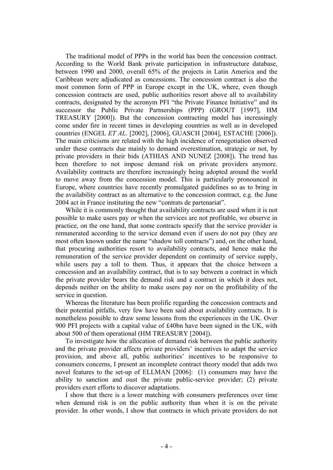The traditional model of PPPs in the world has been the concession contract. According to the World Bank private participation in infrastructure database, between 1990 and 2000, overall 65% of the projects in Latin America and the Caribbean were adjudicated as concessions. The concession contract is also the most common form of PPP in Europe except in the UK, where, even though concession contracts are used, public authorities resort above all to availability contracts, designated by the acronym PFI "the Private Finance Initiative" and its successor the Public Private Partnerships (PPP) (GROUT [1997], HM TREASURY [2000]). But the concession contracting model has increasingly come under fire in recent times in developing countries as well as in developed countries (ENGEL *ET AL*. [2002], [2006], GUASCH [2004], ESTACHE [2006]). The main criticisms are related with the high incidence of renegotiation observed under these contracts due mainly to demand overestimation, strategic or not, by private providers in their bids (ATHIAS AND NUNEZ [2008]). The trend has been therefore to not impose demand risk on private providers anymore. Availability contracts are therefore increasingly being adopted around the world to move away from the concession model. This is particularly pronounced in Europe, where countries have recently promulgated guidelines so as to bring in the availability contract as an alternative to the concession contract, e.g. the June 2004 act in France instituting the new "contrats de partenariat".

While it is commonly thought that availability contracts are used when it is not possible to make users pay or when the services are not profitable, we observe in practice, on the one hand, that some contracts specify that the service provider is remunerated according to the service demand even if users do not pay (they are most often known under the name "shadow toll contracts") and, on the other hand, that procuring authorities resort to availability contracts, and hence make the remuneration of the service provider dependent on continuity of service supply, while users pay a toll to them. Thus, it appears that the choice between a concession and an availability contract, that is to say between a contract in which the private provider bears the demand risk and a contract in which it does not, depends neither on the ability to make users pay nor on the profitability of the service in question.

Whereas the literature has been prolific regarding the concession contracts and their potential pitfalls, very few have been said about availability contracts. It is nonetheless possible to draw some lessons from the experiences in the UK. Over 900 PFI projects with a capital value of £40bn have been signed in the UK, with about 500 of them operational (HM TREASURY [2004]).

To investigate how the allocation of demand risk between the public authority and the private provider affects private providers' incentives to adapt the service provision, and above all, public authorities' incentives to be responsive to consumers concerns, I present an incomplete contract theory model that adds two novel features to the set-up of ELLMAN [2006]: (1) consumers may have the ability to sanction and oust the private public-service provider; (2) private providers exert efforts to discover adaptations.

I show that there is a lower matching with consumers preferences over time when demand risk is on the public authority than when it is on the private provider. In other words, I show that contracts in which private providers do not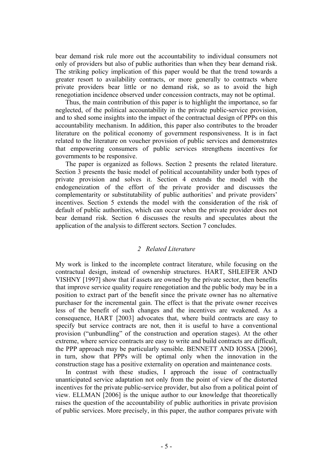bear demand risk rule more out the accountability to individual consumers not only of providers but also of public authorities than when they bear demand risk. The striking policy implication of this paper would be that the trend towards a greater resort to availability contracts, or more generally to contracts where private providers bear little or no demand risk, so as to avoid the high renegotiation incidence observed under concession contracts, may not be optimal.

Thus, the main contribution of this paper is to highlight the importance, so far neglected, of the political accountability in the private public-service provision, and to shed some insights into the impact of the contractual design of PPPs on this accountability mechanism. In addition, this paper also contributes to the broader literature on the political economy of government responsiveness. It is in fact related to the literature on voucher provision of public services and demonstrates that empowering consumers of public services strengthens incentives for governments to be responsive.

The paper is organized as follows. Section 2 presents the related literature. Section 3 presents the basic model of political accountability under both types of private provision and solves it. Section 4 extends the model with the endogeneization of the effort of the private provider and discusses the complementarity or substitutability of public authorities' and private providers' incentives. Section 5 extends the model with the consideration of the risk of default of public authorities, which can occur when the private provider does not bear demand risk. Section 6 discusses the results and speculates about the application of the analysis to different sectors. Section 7 concludes.

#### *2 Related Literature*

My work is linked to the incomplete contract literature, while focusing on the contractual design, instead of ownership structures. HART, SHLEIFER AND VISHNY [1997] show that if assets are owned by the private sector, then benefits that improve service quality require renegotiation and the public body may be in a position to extract part of the benefit since the private owner has no alternative purchaser for the incremental gain. The effect is that the private owner receives less of the benefit of such changes and the incentives are weakened. As a consequence, HART [2003] advocates that, where build contracts are easy to specify but service contracts are not, then it is useful to have a conventional provision ("unbundling" of the construction and operation stages). At the other extreme, where service contracts are easy to write and build contracts are difficult, the PPP approach may be particularly sensible. BENNETT AND IOSSA [2006], in turn, show that PPPs will be optimal only when the innovation in the construction stage has a positive externality on operation and maintenance costs.

In contrast with these studies, I approach the issue of contractually unanticipated service adaptation not only from the point of view of the distorted incentives for the private public-service provider, but also from a political point of view. ELLMAN [2006] is the unique author to our knowledge that theoretically raises the question of the accountability of public authorities in private provision of public services. More precisely, in this paper, the author compares private with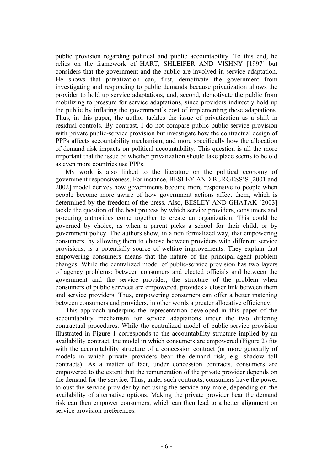public provision regarding political and public accountability. To this end, he relies on the framework of HART, SHLEIFER AND VISHNY [1997] but considers that the government and the public are involved in service adaptation. He shows that privatization can, first, demotivate the government from investigating and responding to public demands because privatization allows the provider to hold up service adaptations, and, second, demotivate the public from mobilizing to pressure for service adaptations, since providers indirectly hold up the public by inflating the government's cost of implementing these adaptations. Thus, in this paper, the author tackles the issue of privatization as a shift in residual controls. By contrast, I do not compare public public-service provision with private public-service provision but investigate how the contractual design of PPPs affects accountability mechanism, and more specifically how the allocation of demand risk impacts on political accountability. This question is all the more important that the issue of whether privatization should take place seems to be old as even more countries use PPPs.

My work is also linked to the literature on the political economy of government responsiveness. For instance, BESLEY AND BURGESS'S [2001 and 2002] model derives how governments become more responsive to people when people become more aware of how government actions affect them, which is determined by the freedom of the press. Also, BESLEY AND GHATAK [2003] tackle the question of the best process by which service providers, consumers and procuring authorities come together to create an organization. This could be governed by choice, as when a parent picks a school for their child, or by government policy. The authors show, in a non formalized way, that empowering consumers, by allowing them to choose between providers with different service provisions, is a potentially source of welfare improvements. They explain that empowering consumers means that the nature of the principal-agent problem changes. While the centralized model of public-service provision has two layers of agency problems: between consumers and elected officials and between the government and the service provider, the structure of the problem when consumers of public services are empowered, provides a closer link between them and service providers. Thus, empowering consumers can offer a better matching between consumers and providers, in other words a greater allocative efficiency.

This approach underpins the representation developed in this paper of the accountability mechanism for service adaptations under the two differing contractual procedures. While the centralized model of public-service provision illustrated in Figure 1 corresponds to the accountability structure implied by an availability contract, the model in which consumers are empowered (Figure 2) fits with the accountability structure of a concession contract (or more generally of models in which private providers bear the demand risk, e.g. shadow toll contracts). As a matter of fact, under concession contracts, consumers are empowered to the extent that the remuneration of the private provider depends on the demand for the service. Thus, under such contracts, consumers have the power to oust the service provider by not using the service any more, depending on the availability of alternative options. Making the private provider bear the demand risk can then empower consumers, which can then lead to a better alignment on service provision preferences.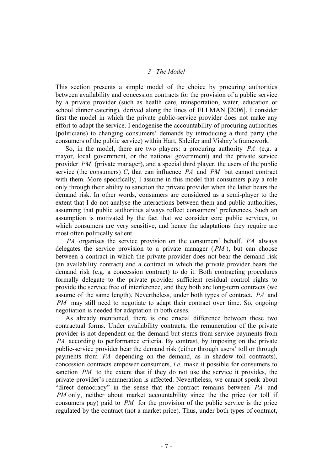## *3 The Model*

This section presents a simple model of the choice by procuring authorities between availability and concession contracts for the provision of a public service by a private provider (such as health care, transportation, water, education or school dinner catering), derived along the lines of ELLMAN [2006]. I consider first the model in which the private public-service provider does not make any effort to adapt the service. I endogenise the accountability of procuring authorities (politicians) to changing consumers' demands by introducing a third party (the consumers of the public service) within Hart, Shleifer and Vishny's framework.

So, in the model, there are two players: a procuring authority *PA* (e.g. a mayor, local government, or the national government) and the private service provider *PM* (private manager), and a special third player, the users of the public service (the consumers) *C*, that can influence *PA* and *PM* but cannot contract with them. More specifically, I assume in this model that consumers play a role only through their ability to sanction the private provider when the latter bears the demand risk. In other words, consumers are considered as a semi-player to the extent that I do not analyse the interactions between them and public authorities, assuming that public authorities always reflect consumers' preferences. Such an assumption is motivated by the fact that we consider core public services, to which consumers are very sensitive, and hence the adaptations they require are most often politically salient.

*PA* organises the service provision on the consumers' behalf. *PA* always delegates the service provision to a private manager ( *PM* ), but can choose between a contract in which the private provider does not bear the demand risk (an availability contract) and a contract in which the private provider bears the demand risk (e.g. a concession contract) to do it. Both contracting procedures formally delegate to the private provider sufficient residual control rights to provide the service free of interference, and they both are long-term contracts (we assume of the same length). Nevertheless, under both types of contract, *PA* and *PM* may still need to negotiate to adapt their contract over time. So, ongoing negotiation is needed for adaptation in both cases.

As already mentioned, there is one crucial difference between these two contractual forms. Under availability contracts, the remuneration of the private provider is not dependent on the demand but stems from service payments from *PA* according to performance criteria. By contrast, by imposing on the private public-service provider bear the demand risk (either through users' toll or through payments from *PA* depending on the demand, as in shadow toll contracts), concession contracts empower consumers, *i.e.* make it possible for consumers to sanction *PM* to the extent that if they do not use the service it provides, the private provider's remuneration is affected. Nevertheless, we cannot speak about "direct democracy" in the sense that the contract remains between *PA* and *PM* only, neither about market accountability since the the price (or toll if consumers pay) paid to *PM* for the provision of the public service is the price regulated by the contract (not a market price). Thus, under both types of contract,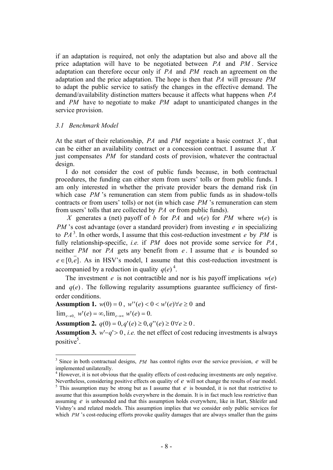if an adaptation is required, not only the adaptation but also and above all the price adaptation will have to be negotiated between *PA* and *PM* . Service adaptation can therefore occur only if *PA* and *PM* reach an agreement on the adaptation and the price adaptation. The hope is then that *PA* will pressure *PM* to adapt the public service to satisfy the changes in the effective demand. The demand/availability distinction matters because it affects what happens when *PA* and *PM* have to negotiate to make *PM* adapt to unanticipated changes in the service provision.

#### *3.1 Benchmark Model*

At the start of their relationship, *PA* and *PM* negotiate a basic contract *X* , that can be either an availability contract or a concession contract. I assume that *X* just compensates *PM* for standard costs of provision, whatever the contractual design.

 I do not consider the cost of public funds because, in both contractual procedures, the funding can either stem from users' tolls or from public funds. I am only interested in whether the private provider bears the demand risk (in which case *PM* 's remuneration can stem from public funds as in shadow-tolls contracts or from users' tolls) or not (in which case *PM* 's remuneration can stem from users' tolls that are collected by *PA* or from public funds).

*X* generates a (net) payoff of *b* for *PA* and  $w(e)$  for *PM* where  $w(e)$  is *PM* 's cost advantage (over a standard provider) from investing *e* in specializing to  $PA<sup>3</sup>$ . In other words, I assume that this cost-reduction investment *e* by *PM* is fully relationship-specific, *i.e.* if *PM* does not provide some service for *PA* , neither *PM* nor *PA* gets any benefit from *e* . I assume that *e* is bounded so  $e \in [0,e]$ . As in HSV's model, I assume that this cost-reduction investment is accompanied by a reduction in quality  $q(e)^4$ .

The investment *e* is not contractible and nor is his payoff implications  $w(e)$ and  $q(e)$ . The following regularity assumptions guarantee sufficiency of firstorder conditions.

**Assumption 1.**  $w(0) = 0$ ,  $w''(e) < 0 < w'(e) \forall e \ge 0$  and

 $\lim_{e \to 0_+} w'(e) = \infty$ ,  $\lim_{e \to \infty} w'(e) = 0$ .

**Assumption 2.**  $q(0) = 0, q'(e) \ge 0, q''(e) \ge 0 \forall e \ge 0$ .

**Assumption 3.** *w*'−*q*'> 0 , *i.e.* the net effect of cost reducing investments is always positive<sup>5</sup>.

<sup>&</sup>lt;sup>3</sup> Since in both contractual designs, *PM* has control rights over the service provision, *e* will be implemented unilaterally.

<sup>&</sup>lt;sup>4</sup> However, it is not obvious that the quality effects of cost-reducing investments are only negative. Nevertheless, considering positive effects on quality of *e* will not change the results of our model.

<sup>&</sup>lt;sup>5</sup> This assumption may be strong but as I assume that  $e$  is bounded, it is not that restrictive to assume that this assumption holds everywhere in the domain. It is in fact much less restrictive than assuming *e* is unbounded and that this assumption holds everywhere, like in Hart, Shleifer and Vishny's and related models. This assumption implies that we consider only public services for which *PM* 's cost-reducing efforts provoke quality damages that are always smaller than the gains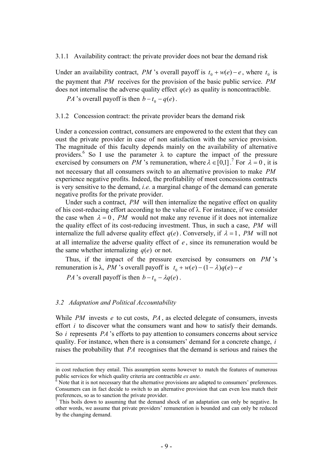3.1.1 Availability contract: the private provider does not bear the demand risk

Under an availability contract, *PM* 's overall payoff is  $t_0 + w(e) - e$ , where  $t_0$  is the payment that *PM* receives for the provision of the basic public service. *PM* does not internalise the adverse quality effect  $q(e)$  as quality is noncontractible.

*PA* 's overall payoff is then  $b - t_0 - q(e)$ .

#### 3.1.2 Concession contract: the private provider bears the demand risk

Under a concession contract, consumers are empowered to the extent that they can oust the private provider in case of non satisfaction with the service provision. The magnitude of this faculty depends mainly on the availability of alternative providers.<sup>6</sup> So I use the parameter  $\lambda$  to capture the impact of the pressure exercised by consumers on *PM* 's remuneration, where  $\lambda \in [0,1]$ .<sup>7</sup> For  $\lambda = 0$ , it is not necessary that all consumers switch to an alternative provision to make *PM* experience negative profits. Indeed, the profitability of most concessions contracts is very sensitive to the demand, *i.e.* a marginal change of the demand can generate negative profits for the private provider.

Under such a contract, *PM* will then internalize the negative effect on quality of his cost-reducing effort according to the value of λ. For instance, if we consider the case when  $\lambda = 0$ , *PM* would not make any revenue if it does not internalize the quality effect of its cost-reducing investment. Thus, in such a case, *PM* will internalize the full adverse quality effect  $q(e)$ . Conversely, if  $\lambda = 1$ , *PM* will not at all internalize the adverse quality effect of *e* , since its remuneration would be the same whether internalizing  $q(e)$  or not.

Thus, if the impact of the pressure exercised by consumers on *PM* 's remuneration is λ, *PM* 's overall payoff is  $t_0 + w(e) - (1 - λ)q(e) - e$ 

*PA* 's overall payoff is then  $b - t_0 - \lambda q(e)$ .

#### *3.2 Adaptation and Political Accountability*

<u>.</u>

While *PM* invests *e* to cut costs, *PA* , as elected delegate of consumers, invests effort *i* to discover what the consumers want and how to satisfy their demands. So *i* represents *PA* 's efforts to pay attention to consumers concerns about service quality. For instance, when there is a consumers' demand for a concrete change, *i* raises the probability that *PA* recognises that the demand is serious and raises the

in cost reduction they entail. This assumption seems however to match the features of numerous public services for which quality criteria are contractible *ex ante*.<br><sup>6</sup> Note that it is not necessary that the alternative provisions are adapted to consumers' preferences.

Consumers can in fact decide to switch to an alternative provision that can even less match their preferences, so as to sanction the private provider.<br><sup>7</sup> This hoils down to assuming that the domand a

This boils down to assuming that the demand shock of an adaptation can only be negative. In other words, we assume that private providers' remuneration is bounded and can only be reduced by the changing demand.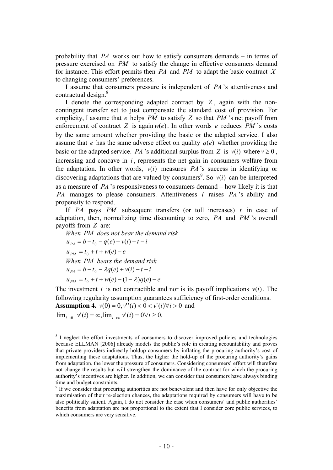probability that *PA* works out how to satisfy consumers demands – in terms of pressure exercised on *PM* to satisfy the change in effective consumers demand for instance. This effort permits then *PA* and *PM* to adapt the basic contract *X* to changing consumers' preferences.

I assume that consumers pressure is independent of *PA* 's attentiveness and contractual design.<sup>8</sup>

I denote the corresponding adapted contract by *Z* , again with the noncontingent transfer set to just compensate the standard cost of provision. For simplicity, I assume that *e* helps *PM* to satisfy *Z* so that *PM* 's net payoff from enforcement of contract *Z* is again  $w(e)$ . In other words *e* reduces *PM* 's costs by the same amount whether providing the basic or the adapted service. I also assume that *e* has the same adverse effect on quality  $q(e)$  whether providing the basic or the adapted service. *PA* 's additional surplus from *Z* is  $v(i)$  where  $v \ge 0$ , increasing and concave in *i* , represents the net gain in consumers welfare from the adaptation. In other words,  $v(i)$  measures *PA*'s success in identifying or discovering adaptations that are valued by consumers<sup>9</sup>. So  $v(i)$  can be interpreted as a measure of *PA* 's responsiveness to consumers demand – how likely it is that *PA* manages to please consumers. Attentiveness *i* raises *PA* 's ability and propensity to respond.

If *PA* pays *PM* subsequent transfers (or toll increases) *t* in case of adaptation, then, normalizing time discounting to zero, *PA* and *PM* 's overall payoffs from *Z* are:

*When PM does not bear the demand risk*  $u_{p_4} = b - t_0 - q(e) + v(i) - t - i$  $u_{PM} = t_0 + t + w(e) - e$ *When PM bears the demand risk*  $u_{p_4} = b - t_0 - \lambda q(e) + v(i) - t - i$  $u_{PM} = t_0 + t + w(e) - (1 - \lambda)q(e) - e$ 

The investment *i* is not contractible and nor is its payoff implications  $v(i)$ . The following regularity assumption guarantees sufficiency of first-order conditions. **Assumption 4.**  $v(0) = 0$ ,  $v''(i) < 0 < v'(i) \forall i > 0$  and  $\lim_{i \to 0^+} v'(i) = \infty$ ,  $\lim_{i \to \infty} v'(i) = 0 \forall i \ge 0$ .

 $\overline{a}$ <sup>8</sup> I neglect the effort investments of consumers to discover improved policies and technologies because ELLMAN [2006] already models the public's role in creating accountability and proves that private providers indirectly holdup consumers by inflating the procuring authority's cost of implementing these adaptations. Thus, the higher the hold-up of the procuring authority's gains from adaptation, the lower the pressure of consumers. Considering consumers' effort will therefore not change the results but will strengthen the dominance of the contract for which the procuring authority's incentives are higher. In addition, we can consider that consumers have always binding time and budget constraints.

<sup>&</sup>lt;sup>9</sup> If we consider that procuring authorities are not benevolent and then have for only objective the maximisation of their re-election chances, the adaptations required by consumers will have to be also politically salient. Again, I do not consider the case when consumers' and public authorities' benefits from adaptation are not proportional to the extent that I consider core public services, to which consumers are very sensitive.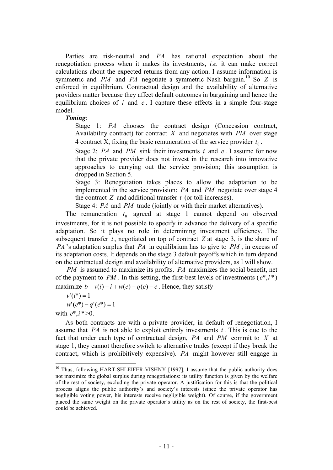Parties are risk-neutral and *PA* has rational expectation about the renegotiation process when it makes its investments, *i.e.* it can make correct calculations about the expected returns from any action. I assume information is symmetric and *PM* and *PA* negotiate a symmetric Nash bargain.<sup>10</sup> So *Z* is enforced in equilibrium. Contractual design and the availability of alternative providers matter because they affect default outcomes in bargaining and hence the equilibrium choices of *i* and *e* . I capture these effects in a simple four-stage model.

## *Timing*:

Stage 1: *PA* chooses the contract design (Concession contract, Availability contract) for contract *X* and negotiates with *PM* over stage 4 contract X, fixing the basic remuneration of the service provider  $t_0$ .

Stage 2: *PA* and *PM* sink their investments *i* and *e* . I assume for now that the private provider does not invest in the research into innovative approaches to carrying out the service provision; this assumption is dropped in Section 5.

Stage 3: Renegotiation takes places to allow the adaptation to be implemented in the service provision: *PA* and *PM* negotiate over stage 4 the contract *Z* and additional transfer *t* (or toll increases).

Stage 4: *PA* and *PM* trade (jointly or with their market alternatives).

The remuneration  $t_0$  agreed at stage 1 cannot depend on observed investments, for it is not possible to specify in advance the delivery of a specific adaptation. So it plays no role in determining investment efficiency. The subsequent transfer  $t$ , negotiated on top of contract  $Z$  at stage 3, is the share of *PA* 's adaptation surplus that *PA* in equilibrium has to give to *PM* , in excess of its adaptation costs. It depends on the stage 3 default payoffs which in turn depend on the contractual design and availability of alternative providers, as I will show.

*PM* is assumed to maximize its profits. *PA* maximizes the social benefit, net of the payment to *PM*. In this setting, the first-best levels of investments ( $e^*, i^*$ ) maximize  $b + v(i) - i + w(e) - q(e) - e$ . Hence, they satisfy

$$
v'(i^*)=1
$$

 $w'(e^*) - q'(e^*) = 1$ 

with  $e^*, i^* > 0$ .

 $\overline{a}$ 

As both contracts are with a private provider, in default of renegotiation, I assume that *PA* is not able to exploit entirely investments *i* . This is due to the fact that under each type of contractual design, *PA* and *PM* commit to *X* at stage 1, they cannot therefore switch to alternative trades (except if they break the contract, which is prohibitively expensive). *PA* might however still engage in

<sup>&</sup>lt;sup>10</sup> Thus, following HART-SHLEIFER-VISHNY [1997], I assume that the public authority does not maximize the global surplus during renegotiations: its utility function is given by the welfare of the rest of society, excluding the private operator. A justification for this is that the political process aligns the public authority's and society's interests (since the private operator has negligible voting power, his interests receive negligible weight). Of course, if the government placed the same weight on the private operator's utility as on the rest of society, the first-best could be achieved.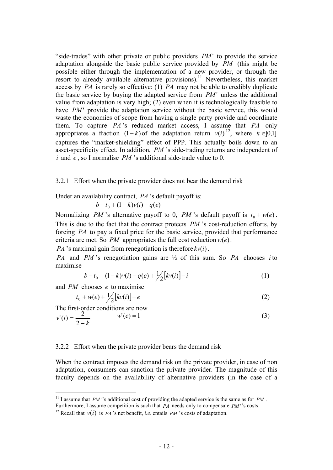"side-trades" with other private or public providers *PM* to provide the service adaptation alongside the basic public service provided by *PM* (this might be possible either through the implementation of a new provider, or through the resort to already available alternative provisions).<sup>11</sup> Nevertheless, this market access by *PA* is rarely so effective: (1) *PA* may not be able to credibly duplicate the basic service by buying the adapted service from  $PM'$  unless the additional value from adaptation is very high; (2) even when it is technologically feasible to have *PM* provide the adaptation service without the basic service, this would waste the economies of scope from having a single party provide and coordinate them. To capture *PA* 's reduced market access, I assume that *PA* only appropriates a fraction  $(1-k)$  of the adaptation return  $v(i)^{12}$ , where  $k \in ]0,1]$ captures the "market-shielding" effect of PPP. This actually boils down to an asset-specificity effect. In addition, *PM* 's side-trading returns are independent of *i* and *e* , so I normalise *PM* 's additional side-trade value to 0.

3.2.1 Effort when the private provider does not bear the demand risk

Under an availability contract, *PA* 's default payoff is:

$$
b - t_0 + (1 - k)v(i) - q(e)
$$

Normalizing *PM* 's alternative payoff to 0, *PM* 's default payoff is  $t_0 + w(e)$ . This is due to the fact that the contract protects *PM* 's cost-reduction efforts, by forcing *PA* to pay a fixed price for the basic service, provided that performance criteria are met. So *PM* appropriates the full cost reduction  $w(e)$ .

*PA* 's maximal gain from renegotiation is therefore  $kv(i)$ .

*PA* and *PM* 's renegotiation gains are ½ of this sum. So *PA* chooses *i* to maximise

$$
b - t_0 + (1 - k)v(i) - q(e) + \frac{1}{2}[kv(i)] - i
$$
 (1)

and *PM* chooses *e* to maximise

$$
t_0 + w(e) + \frac{1}{2} [kv(i)] - e
$$
 (2)

The first-order conditions are now

 $\overline{a}$ 

$$
v'(i) = \frac{2}{2 - k} \qquad w'(e) = 1 \tag{3}
$$

#### 3.2.2 Effort when the private provider bears the demand risk

When the contract imposes the demand risk on the private provider, in case of non adaptation, consumers can sanction the private provider. The magnitude of this faculty depends on the availability of alternative providers (in the case of a

<sup>&</sup>lt;sup>11</sup> I assume that *PM* ''s additional cost of providing the adapted service is the same as for *PM*.

Furthermore, I assume competition is such that *PA* needs only to compensate *PM* ''s costs.

<sup>&</sup>lt;sup>12</sup> Recall that  $v(i)$  is *PA* 's net benefit, *i.e.* entails *PM* 's costs of adaptation.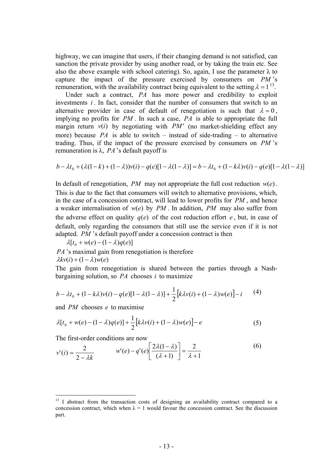highway, we can imagine that users, if their changing demand is not satisfied, can sanction the private provider by using another road, or by taking the train etc. See also the above example with school catering). So, again, I use the parameter  $\lambda$  to capture the impact of the pressure exercised by consumers on *PM* 's remuneration, with the availability contract being equivalent to the setting  $\lambda = 1^{13}$ .

Under such a contract, *PA* has more power and credibility to exploit investments *i* . In fact, consider that the number of consumers that switch to an alternative provider in case of default of renegotiation is such that  $\lambda = 0$ , implying no profits for *PM* . In such a case, *PA* is able to appropriate the full margin return  $v(i)$  by negotiating with *PM* (no market-shielding effect any more) because *PA* is able to switch – instead of side-trading – to alternative trading. Thus, if the impact of the pressure exercised by consumers on *PM* 's remuneration is  $λ$ ,  $PA$ 's default payoff is

$$
b - \lambda t_0 + (\lambda(1 - k) + (1 - \lambda))v(i) - q(e)[1 - \lambda(1 - \lambda)] = b - \lambda t_0 + (1 - k\lambda)v(i) - q(e)[1 - \lambda(1 - \lambda)]
$$

In default of renegotiation, *PM* may not appropriate the full cost reduction  $w(e)$ . This is due to the fact that consumers will switch to alternative provisions, which, in the case of a concession contract, will lead to lower profits for *PM* , and hence a weaker internalisation of  $w(e)$  by  $PM$ . In addition,  $PM$  may also suffer from the adverse effect on quality  $q(e)$  of the cost reduction effort  $e$ , but, in case of default, only regarding the consumers that still use the service even if it is not adapted. *PM* 's default payoff under a concession contract is then

 $\lambda[t_0 + w(e) - (1 - \lambda)q(e)]$ 

*PA* 's maximal gain from renegotiation is therefore  $\lambda k v(i) + (1 - \lambda) w(e)$ 

The gain from renegotiation is shared between the parties through a Nashbargaining solution, so *PA* chooses *i* to maximize

$$
b - \lambda t_0 + (1 - k\lambda)v(i) - q(e)[1 - \lambda(1 - \lambda)] + \frac{1}{2}[k\lambda v(i) + (1 - \lambda)w(e)] - i
$$
 (4)

and *PM* chooses *e* to maximise

$$
\lambda[t_0 + w(e) - (1 - \lambda)q(e)] + \frac{1}{2}[k\lambda v(i) + (1 - \lambda)w(e)] - e
$$
\n(5)

The first-order conditions are now

$$
v'(i) = \frac{2}{2 - \lambda k} \qquad w'(e) - q'(e) \left[ \frac{2\lambda(1 - \lambda)}{(\lambda + 1)} \right] = \frac{2}{\lambda + 1} \tag{6}
$$

<sup>&</sup>lt;sup>13</sup> I abstract from the transaction costs of designing an availability contract compared to a concession contract, which when  $\lambda = 1$  would favour the concession contract. See the discussion part.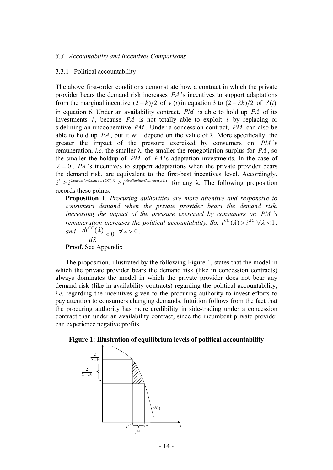#### *3.3 Accountability and Incentives Comparisons*

#### 3.3.1 Political accountability

The above first-order conditions demonstrate how a contract in which the private provider bears the demand risk increases *PA* 's incentives to support adaptations from the marginal incentive  $(2 - k)/2$  of  $v'(i)$  in equation 3 to  $(2 - \lambda k)/2$  of  $v'(i)$ in equation 6. Under an availability contract, *PM* is able to hold up *PA* of its investments *i* , because *PA* is not totally able to exploit *i* by replacing or sidelining an uncooperative *PM* . Under a concession contract, *PM* can also be able to hold up  $PA$ , but it will depend on the value of  $\lambda$ . More specifically, the greater the impact of the pressure exercised by consumers on *PM* 's remuneration, *i.e.* the smaller λ, the smaller the renegotiation surplus for *PA* , so the smaller the holdup of *PM* of *PA* 's adaptation investments. In the case of  $\lambda = 0$ , *PA*'s incentives to support adaptations when the private provider bears the demand risk, are equivalent to the first-best incentives level. Accordingly,  $i^* \geq i^{ConsisionContract(CC), \lambda} \geq i^{AvalabilityContract(AC)}$  for any  $\lambda$ . The following proposition records these points.

**Proposition 1**. *Procuring authorities are more attentive and responsive to consumers demand when the private provider bears the demand risk. Increasing the impact of the pressure exercised by consumers on PM 's remuneration increases the political accountability. So,*  $i^{CC}(\lambda) > i^{AC} \forall \lambda < 1$ , *and*  $\frac{di^{CC}(\lambda)}{d\lambda} < 0 \quad \forall \lambda > 0$ . λ *d diCC*

**Proof.** See Appendix

The proposition, illustrated by the following Figure 1, states that the model in which the private provider bears the demand risk (like in concession contracts) always dominates the model in which the private provider does not bear any demand risk (like in availability contracts) regarding the political accountability, *i.e.* regarding the incentives given to the procuring authority to invest efforts to pay attention to consumers changing demands. Intuition follows from the fact that the procuring authority has more credibility in side-trading under a concession contract than under an availability contract, since the incumbent private provider can experience negative profits.

#### **Figure 1: Illustration of equilibrium levels of political accountability**

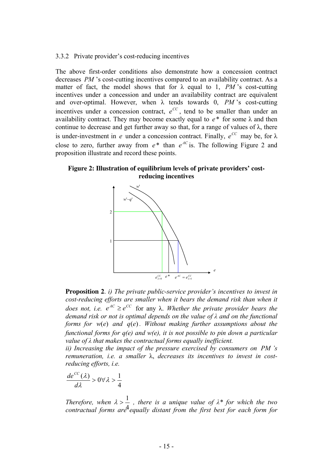#### 3.3.2 Private provider's cost-reducing incentives

The above first-order conditions also demonstrate how a concession contract decreases *PM* 's cost-cutting incentives compared to an availability contract. As a matter of fact, the model shows that for  $\lambda$  equal to 1, *PM* 's cost-cutting incentives under a concession and under an availability contract are equivalent and over-optimal. However, when  $\lambda$  tends towards 0, *PM* 's cost-cutting incentives under a concession contract,  $e^{cc}$ , tend to be smaller than under an availability contract. They may become exactly equal to  $e^*$  for some  $\lambda$  and then continue to decrease and get further away so that, for a range of values of  $\lambda$ , there is under-investment in *e* under a concession contract. Finally,  $e^{CC}$  may be, for  $\lambda$ close to zero, further away from  $e^*$  than  $e^{AC}$  is. The following Figure 2 and proposition illustrate and record these points.

**Figure 2: Illustration of equilibrium levels of private providers' costreducing incentives** 



**Proposition 2**. *i) The private public-service provider's incentives to invest in cost-reducing efforts are smaller when it bears the demand risk than when it does not, i.e.*  $e^{AC} \geq e^{CC}$  for any  $\lambda$ . *Whether the private provider bears the demand risk or not is optimal depends on the value of λ and on the functional forms for w(e) and*  $q(e)$ *. Without making further assumptions about the functional forms for q(e) and w(e), it is not possible to pin down a particular value of λ that makes the contractual forms equally inefficient.* 

*ii) Increasing the impact of the pressure exercised by consumers on PM 's remuneration, i.e. a smaller* λ, *decreases its incentives to invest in costreducing efforts, i.e.* 

$$
\frac{de^{CC}(\lambda)}{d\lambda} > 0 \forall \lambda > \frac{1}{4}
$$

*Therefore, when*  $\lambda > \frac{1}{4}$ , there is a unique value of  $\lambda^*$  for which the two contractual forms are equally distant from the first best for each form for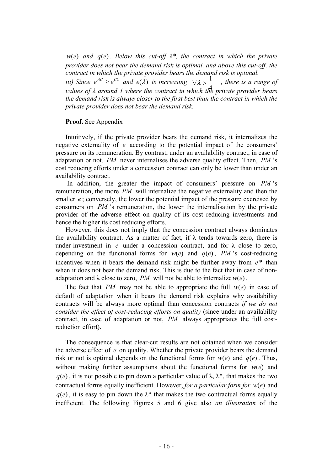*w*(*e*) and  $q(e)$ . Below this cut-off  $\lambda^*$ , the contract in which the private *provider does not bear the demand risk is optimal, and above this cut-off, the contract in which the private provider bears the demand risk is optimal.* 

*iii)* Since  $e^{AC} \geq e^{CC}$  and  $e(\lambda)$  is increasing  $\forall \lambda > \frac{1}{\lambda}$ , there is a range of *values of λ around 1 where the contract in which the private provider bears*  4 *the demand risk is always closer to the first best than the contract in which the private provider does not bear the demand risk.* 

#### **Proof.** See Appendix

Intuitively, if the private provider bears the demand risk, it internalizes the negative externality of *e* according to the potential impact of the consumers' pressure on its remuneration. By contrast, under an availability contract, in case of adaptation or not, *PM* never internalises the adverse quality effect. Then, *PM* 's cost reducing efforts under a concession contract can only be lower than under an availability contract.

 In addition, the greater the impact of consumers' pressure on *PM* 's remuneration, the more *PM* will internalize the negative externality and then the smaller  $e$ ; conversely, the lower the potential impact of the pressure exercised by consumers on *PM* 's remuneration, the lower the internalisation by the private provider of the adverse effect on quality of its cost reducing investments and hence the higher its cost reducing efforts.

However, this does not imply that the concession contract always dominates the availability contract. As a matter of fact, if  $\lambda$  tends towards zero, there is under-investment in  $e$  under a concession contract, and for  $\lambda$  close to zero, depending on the functional forms for  $w(e)$  and  $q(e)$ , *PM* 's cost-reducing incentives when it bears the demand risk might be further away from *e*\* than when it does not bear the demand risk. This is due to the fact that in case of nonadaptation and  $\lambda$  close to zero, *PM* will not be able to internalize  $w(e)$ .

The fact that *PM* may not be able to appropriate the full  $w(e)$  in case of default of adaptation when it bears the demand risk explains why availability contracts will be always more optimal than concession contracts *if we do not consider the effect of cost-reducing efforts on quality* (since under an availability contract, in case of adaptation or not, *PM* always appropriates the full costreduction effort).

The consequence is that clear-cut results are not obtained when we consider the adverse effect of *e* on quality. Whether the private provider bears the demand risk or not is optimal depends on the functional forms for  $w(e)$  and  $q(e)$ . Thus, without making further assumptions about the functional forms for  $w(e)$  and  $q(e)$ , it is not possible to pin down a particular value of  $\lambda$ ,  $\lambda^*$ , that makes the two contractual forms equally inefficient. However, *for a particular form for*  $w(e)$  and  $q(e)$ , it is easy to pin down the  $\lambda^*$  that makes the two contractual forms equally inefficient. The following Figures 5 and 6 give also *an illustration* of the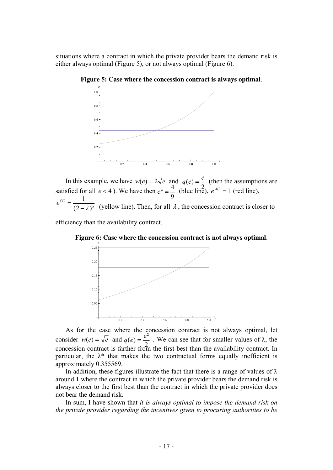situations where a contract in which the private provider bears the demand risk is either always optimal (Figure 5), or not always optimal (Figure 6).



**Figure 5: Case where the concession contract is always optimal**.

In this example, we have  $w(e) = 2\sqrt{e}$  and  $q(e) = \frac{e}{e}$  (then the assumptions are satisfied for all  $e < 4$ ). We have then  $e^* = \frac{4}{2}$  (blue line),  $e^{AC} = 1$  (red line),  $\epsilon$   $\bar{(-2-\lambda)^2}$  (yellow line). Then, for all  $\lambda$ , the concession contract is closer to  $q(e) = \frac{e}{2}$ 9  $e^* = \frac{4}{3}$ 1  $-\lambda$  $e^{CC} =$ 

efficiency than the availability contract.



**Figure 6: Case where the concession contract is not always optimal**.

As for the case where the concession contract is not always optimal, let consider  $w(e) = \sqrt{e}$  and  $q(e) = \frac{e}{\sqrt{e}}$ . We can see that for smaller values of  $\lambda$ , the concession contract is farther from the first-best than the availability contract. In particular, the  $\lambda^*$  that makes the two contractual forms equally inefficient is approximately 0.355569.  $q(e) = \frac{e^2}{2}$ 

In addition, these figures illustrate the fact that there is a range of values of  $\lambda$ around 1 where the contract in which the private provider bears the demand risk is always closer to the first best than the contract in which the private provider does not bear the demand risk.

In sum, I have shown that *it is always optimal to impose the demand risk on the private provider regarding the incentives given to procuring authorities to be*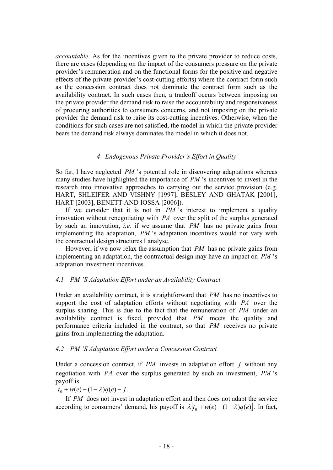*accountable.* As for the incentives given to the private provider to reduce costs, there are cases (depending on the impact of the consumers pressure on the private provider's remuneration and on the functional forms for the positive and negative effects of the private provider's cost-cutting efforts) where the contract form such as the concession contract does not dominate the contract form such as the availability contract. In such cases then, a tradeoff occurs between imposing on the private provider the demand risk to raise the accountability and responsiveness of procuring authorities to consumers concerns, and not imposing on the private provider the demand risk to raise its cost-cutting incentives. Otherwise, when the conditions for such cases are not satisfied, the model in which the private provider bears the demand risk always dominates the model in which it does not.

## *4 Endogenous Private Provider's Effort in Quality*

So far, I have neglected *PM* 's potential role in discovering adaptations whereas many studies have highlighted the importance of *PM* 's incentives to invest in the research into innovative approaches to carrying out the service provision (e.g. HART, SHLEIFER AND VISHNY [1997], BESLEY AND GHATAK [2001], HART [2003], BENETT AND IOSSA [2006]).

If we consider that it is not in *PM* 's interest to implement a quality innovation without renegotiating with *PA* over the split of the surplus generated by such an innovation, *i.e.* if we assume that *PM* has no private gains from implementing the adaptation, *PM* 's adaptation incentives would not vary with the contractual design structures I analyse.

However, if we now relax the assumption that *PM* has no private gains from implementing an adaptation, the contractual design may have an impact on *PM* 's adaptation investment incentives.

## *4.1 PM 'S Adaptation Effort under an Availability Contract*

Under an availability contract, it is straightforward that *PM* has no incentives to support the cost of adaptation efforts without negotiating with *PA* over the surplus sharing. This is due to the fact that the remuneration of *PM* under an availability contract is fixed, provided that *PM* meets the quality and performance criteria included in the contract, so that *PM* receives no private gains from implementing the adaptation.

## *4.2 PM 'S Adaptation Effort under a Concession Contract*

Under a concession contract, if *PM* invests in adaptation effort *j* without any negotiation with *PA* over the surplus generated by such an investment, *PM* 's payoff is

 $t_0 + w(e) - (1 - \lambda)q(e) - j$ .

If *PM* does not invest in adaptation effort and then does not adapt the service according to consumers' demand, his payoff is  $\lambda [ t_0 + w(e) - (1 - \lambda) q(e) ]$ . In fact,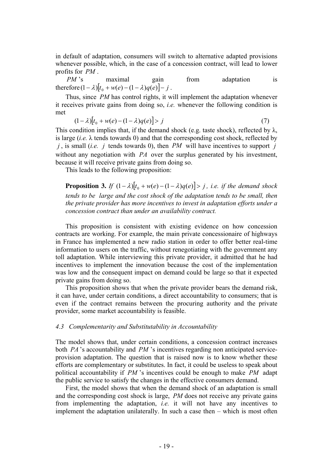in default of adaptation, consumers will switch to alternative adapted provisions whenever possible, which, in the case of a concession contract, will lead to lower profits for *PM* .

*PM* 's maximal gain from adaptation is therefore  $(1 - \lambda)[t_0 + w(e) - (1 - \lambda)q(e)] - j$ .

Thus, since *PM* has control rights, it will implement the adaptation whenever it receives private gains from doing so, *i.e.* whenever the following condition is met

$$
(1 - \lambda)[t_0 + w(e) - (1 - \lambda)q(e)] > j \tag{7}
$$

This condition implies that, if the demand shock (e.g. taste shock), reflected by  $\lambda$ , is large  $(i.e. \lambda$  tends towards 0) and that the corresponding cost shock, reflected by  $j$ , is small (*i.e. j* tends towards 0), then *PM* will have incentives to support *j* without any negotiation with *PA* over the surplus generated by his investment, because it will receive private gains from doing so.

This leads to the following proposition:

**Proposition 3.** *If*  $(1 - \lambda)[t_0 + w(e) - (1 - \lambda)q(e)] > j$ , i.e. if the demand shock *tends to be large and the cost shock of the adaptation tends to be small, then the private provider has more incentives to invest in adaptation efforts under a concession contract than under an availability contract.* 

This proposition is consistent with existing evidence on how concession contracts are working. For example, the main private concessionaire of highways in France has implemented a new radio station in order to offer better real-time information to users on the traffic, without renegotiating with the government any toll adaptation. While interviewing this private provider, it admitted that he had incentives to implement the innovation because the cost of the implementation was low and the consequent impact on demand could be large so that it expected private gains from doing so.

This proposition shows that when the private provider bears the demand risk, it can have, under certain conditions, a direct accountability to consumers; that is even if the contract remains between the procuring authority and the private provider, some market accountability is feasible.

#### *4.3 Complementarity and Substitutability in Accountability*

The model shows that, under certain conditions, a concession contract increases both *PA* 's accountability and *PM* 's incentives regarding non anticipated serviceprovision adaptation. The question that is raised now is to know whether these efforts are complementary or substitutes. In fact, it could be useless to speak about political accountability if *PM* 's incentives could be enough to make *PM* adapt the public service to satisfy the changes in the effective consumers demand.

First, the model shows that when the demand shock of an adaptation is small and the corresponding cost shock is large, *PM* does not receive any private gains from implementing the adaptation, *i.e.* it will not have any incentives to implement the adaptation unilaterally. In such a case then – which is most often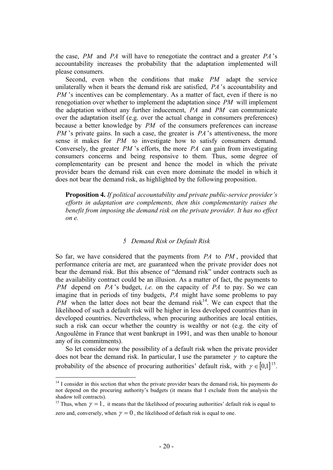the case, *PM* and *PA* will have to renegotiate the contract and a greater *PA* 's accountability increases the probability that the adaptation implemented will please consumers.

Second, even when the conditions that make *PM* adapt the service unilaterally when it bears the demand risk are satisfied, *PA* 's accountability and *PM* 's incentives can be complementary. As a matter of fact, even if there is no renegotiation over whether to implement the adaptation since *PM* will implement the adaptation without any further inducement, *PA* and *PM* can communicate over the adaptation itself (e.g. over the actual change in consumers preferences) because a better knowledge by *PM* of the consumers preferences can increase *PM* 's private gains. In such a case, the greater is *PA* 's attentiveness, the more sense it makes for *PM* to investigate how to satisfy consumers demand. Conversely, the greater *PM* 's efforts, the more *PA* can gain from investigating consumers concerns and being responsive to them. Thus, some degree of complementarity can be present and hence the model in which the private provider bears the demand risk can even more dominate the model in which it does not bear the demand risk, as highlighted by the following proposition.

**Proposition 4.** *If political accountability and private public-service provider's efforts in adaptation are complements, then this complementarity raises the benefit from imposing the demand risk on the private provider. It has no effect on e.* 

#### *5 Demand Risk or Default Risk*

So far, we have considered that the payments from *PA* to *PM* , provided that performance criteria are met, are guaranteed when the private provider does not bear the demand risk. But this absence of "demand risk" under contracts such as the availability contract could be an illusion. As a matter of fact, the payments to *PM* depend on *PA* 's budget, *i.e.* on the capacity of *PA* to pay. So we can imagine that in periods of tiny budgets, *PA* might have some problems to pay *PM* when the latter does not bear the demand risk<sup>14</sup>. We can expect that the likelihood of such a default risk will be higher in less developed countries than in developed countries. Nevertheless, when procuring authorities are local entities, such a risk can occur whether the country is wealthy or not (e.g. the city of Angoulême in France that went bankrupt in 1991, and was then unable to honour any of its commitments).

So let consider now the possibility of a default risk when the private provider does not bear the demand risk. In particular, I use the parameter  $\gamma$  to capture the probability of the absence of procuring authorities' default risk, with  $\gamma \in [0,1]^{15}$ .

 $14$  I consider in this section that when the private provider bears the demand risk, his payments do not depend on the procuring authority's budgets (it means that I exclude from the analysis the shadow toll contracts).

<sup>&</sup>lt;sup>15</sup> Thus, when  $\gamma = 1$ , it means that the likelihood of procuring authorities' default risk is equal to zero and, conversely, when  $\nu = 0$ , the likelihood of default risk is equal to one.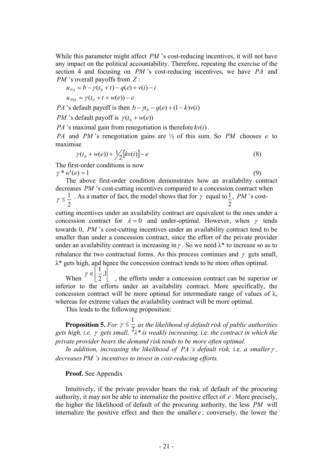While this parameter might affect *PM* 's cost-reducing incentives, it will not have any impact on the political accountability. Therefore, repeating the exercise of the section 4 and focusing on *PM* 's cost-reducing incentives, we have *PA* and *PM* 's overall payoffs from *Z* :

 $u_{p_4} = b - \gamma(t_0 + t) - q(e) + v(i) - i$  $u_{pM} = \gamma(t_0 + t + w(e)) - e$ 

*PA* 's default payoff is then  $b - \gamma t_0 - q(e) + (1 - k)v(i)$ 

*PM* 's default payoff is  $\gamma(t_0 + w(e))$ 

*PA* 's maximal gain from renegotiation is therefore  $kv(i)$ .

*PA* and *PM* 's renegotiation gains are ½ of this sum. So *PM* chooses *e* to maximise

$$
\gamma(t_0 + w(e)) + \frac{1}{2}[kv(i)] - e \tag{8}
$$

The first-order conditions is now  $\gamma * w'(e) = 1$  (9)

The above first-order condition demonstrates how an availability contract decreases *PM* 's cost-cutting incentives compared to a concession contract when

 $\perp$ . As a matter of fact, the model shows that for  $\gamma$  equal to  $\perp$ , *PM* 's cost-2  $\gamma \leq \frac{1}{2}$ 2 1

cutting incentives under an availability contract are equivalent to the ones under a concession contract for  $\lambda = 0$  and under-optimal. However, when  $\gamma$  tends towards 0, *PM* 's cost-cutting incentives under an availability contract tend to be smaller than under a concession contract, since the effort of the private provider under an availability contract is increasing in  $\gamma$ . So we need  $\lambda^*$  to increase so as to rebalance the two contractual forms. As this process continues and  $\gamma$  gets small,  $\lambda^*$  gets high, and hence the concession contract tends to be more often optimal.

When  $\left( \begin{array}{c} 2 \\ 2 \end{array} \right)$ , the efforts under a concession contract can be superior or inferior to the efforts under an availability contract. More specifically, the concession contract will be more optimal for intermediate range of values of  $\lambda$ , whereas for extreme values the availability contract will be more optimal. ⎢ ⎣  $\mathsf{L}$ ⎢ ⎣  $\in \left[\frac{1}{2},1\right]$ 2  $\gamma \in \left| \frac{1}{2} \right|$ 

This leads to the following proposition:

**Proposition 5.** For  $\gamma \leq \frac{1}{\gamma}$  as the likelihood of default risk of public authorities *gets high, i.e.*  $\gamma$  *gets small,*  $\frac{2}{\lambda^*}$  *is weakly increasing, i.e. the contract in which the private provider bears the demand risk tends to be more often optimal.*   $\gamma \leq \frac{1}{2}$ 

*In addition, increasing the likelihood of PA 's default risk,* i.e. *a smaller*<sup>γ</sup> *, decreases PM 's incentives to invest in cost-reducing efforts.* 

#### **Proof.** See Appendix

Intuitively, if the private provider bears the risk of default of the procuring authority, it may not be able to internalize the positive effect of *e* . More precisely, the higher the likelihood of default of the procuring authority, the less *PM* will internalize the positive effect and then the smaller *e*; conversely, the lower the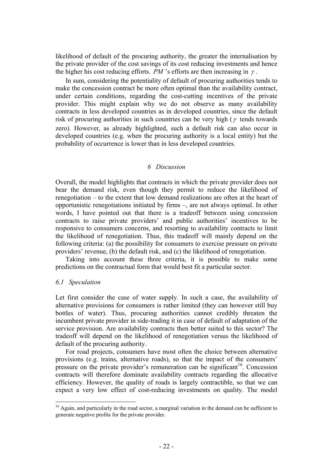likelihood of default of the procuring authority, the greater the internalisation by the private provider of the cost savings of its cost reducing investments and hence the higher his cost reducing efforts.  $PM$  's efforts are then increasing in  $\gamma$ .

In sum, considering the potentiality of default of procuring authorities tends to make the concession contract be more often optimal than the availability contract, under certain conditions, regarding the cost-cutting incentives of the private provider. This might explain why we do not observe as many availability contracts in less developed countries as in developed countries, since the default risk of procuring authorities in such countries can be very high ( $\gamma$  tends towards zero). However, as already highlighted, such a default risk can also occur in developed countries (e.g. when the procuring authority is a local entity) but the probability of occurrence is lower than in less developed countries.

#### *6 Discussion*

Overall, the model highlights that contracts in which the private provider does not bear the demand risk, even though they permit to reduce the likelihood of renegotiation – to the extent that low demand realizations are often at the heart of opportunistic renegotiations initiated by firms –, are not always optimal. In other words, I have pointed out that there is a tradeoff between using concession contracts to raise private providers' and public authorities' incentives to be responsive to consumers concerns, and resorting to availability contracts to limit the likelihood of renegotiation. Thus, this tradeoff will mainly depend on the following criteria: (a) the possibility for consumers to exercise pressure on private providers' revenue, (b) the default risk, and (c) the likelihood of renegotiation.

Taking into account these three criteria, it is possible to make some predictions on the contractual form that would best fit a particular sector.

#### *6.1 Speculation*

 $\overline{a}$ 

Let first consider the case of water supply. In such a case, the availability of alternative provisions for consumers is rather limited (they can however still buy bottles of water). Thus, procuring authorities cannot credibly threaten the incumbent private provider in side-trading it in case of default of adaptation of the service provision. Are availability contracts then better suited to this sector? The tradeoff will depend on the likelihood of renegotiation versus the likelihood of default of the procuring authority.

For road projects, consumers have most often the choice between alternative provisions (e.g. trains, alternative roads), so that the impact of the consumers' pressure on the private provider's remuneration can be significant<sup>16</sup>. Concession contracts will therefore dominate availability contracts regarding the allocative efficiency. However, the quality of roads is largely contractible, so that we can expect a very low effect of cost-reducing investments on quality. The model

<sup>&</sup>lt;sup>16</sup> Again, and particularly in the road sector, a marginal variation in the demand can be sufficient to generate negative profits for the private provider.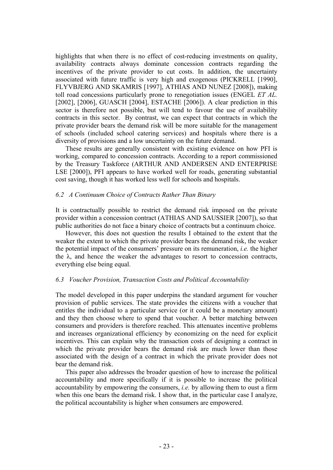highlights that when there is no effect of cost-reducing investments on quality, availability contracts always dominate concession contracts regarding the incentives of the private provider to cut costs. In addition, the uncertainty associated with future traffic is very high and exogenous (PICKRELL [1990], FLYVBJERG AND SKAMRIS [1997], ATHIAS AND NUNEZ [2008]), making toll road concessions particularly prone to renegotiation issues (ENGEL *ET AL.* [2002], [2006], GUASCH [2004], ESTACHE [2006]). A clear prediction in this sector is therefore not possible, but will tend to favour the use of availability contracts in this sector. By contrast, we can expect that contracts in which the private provider bears the demand risk will be more suitable for the management of schools (included school catering services) and hospitals where there is a diversity of provisions and a low uncertainty on the future demand.

These results are generally consistent with existing evidence on how PFI is working, compared to concession contracts. According to a report commissioned by the Treasury Taskforce (ARTHUR AND ANDERSEN AND ENTERPRISE LSE [2000]), PFI appears to have worked well for roads, generating substantial cost saving, though it has worked less well for schools and hospitals.

#### *6.2 A Continuum Choice of Contracts Rather Than Binary*

It is contractually possible to restrict the demand risk imposed on the private provider within a concession contract (ATHIAS AND SAUSSIER [2007]), so that public authorities do not face a binary choice of contracts but a continuum choice.

However, this does not question the results I obtained to the extent that the weaker the extent to which the private provider bears the demand risk, the weaker the potential impact of the consumers' pressure on its remuneration, *i.e.* the higher the  $\lambda$ , and hence the weaker the advantages to resort to concession contracts, everything else being equal.

#### *6.3 Voucher Provision, Transaction Costs and Political Accountability*

The model developed in this paper underpins the standard argument for voucher provision of public services. The state provides the citizens with a voucher that entitles the individual to a particular service (or it could be a monetary amount) and they then choose where to spend that voucher. A better matching between consumers and providers is therefore reached. This attenuates incentive problems and increases organizational efficiency by economizing on the need for explicit incentives. This can explain why the transaction costs of designing a contract in which the private provider bears the demand risk are much lower than those associated with the design of a contract in which the private provider does not bear the demand risk.

This paper also addresses the broader question of how to increase the political accountability and more specifically if it is possible to increase the political accountability by empowering the consumers, *i.e.* by allowing them to oust a firm when this one bears the demand risk. I show that, in the particular case I analyze, the political accountability is higher when consumers are empowered.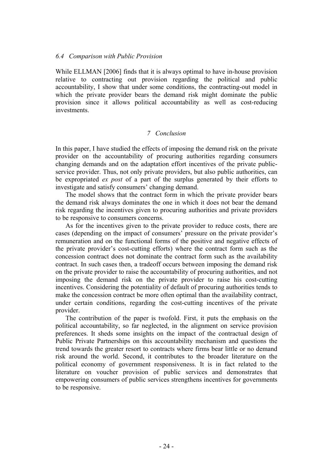#### *6.4 Comparison with Public Provision*

While ELLMAN [2006] finds that it is always optimal to have in-house provision relative to contracting out provision regarding the political and public accountability, I show that under some conditions, the contracting-out model in which the private provider bears the demand risk might dominate the public provision since it allows political accountability as well as cost-reducing investments.

## *7 Conclusion*

In this paper, I have studied the effects of imposing the demand risk on the private provider on the accountability of procuring authorities regarding consumers changing demands and on the adaptation effort incentives of the private publicservice provider. Thus, not only private providers, but also public authorities, can be expropriated *ex post* of a part of the surplus generated by their efforts to investigate and satisfy consumers' changing demand.

The model shows that the contract form in which the private provider bears the demand risk always dominates the one in which it does not bear the demand risk regarding the incentives given to procuring authorities and private providers to be responsive to consumers concerns.

As for the incentives given to the private provider to reduce costs, there are cases (depending on the impact of consumers' pressure on the private provider's remuneration and on the functional forms of the positive and negative effects of the private provider's cost-cutting efforts) where the contract form such as the concession contract does not dominate the contract form such as the availability contract. In such cases then, a tradeoff occurs between imposing the demand risk on the private provider to raise the accountability of procuring authorities, and not imposing the demand risk on the private provider to raise his cost-cutting incentives. Considering the potentiality of default of procuring authorities tends to make the concession contract be more often optimal than the availability contract, under certain conditions, regarding the cost-cutting incentives of the private provider.

The contribution of the paper is twofold. First, it puts the emphasis on the political accountability, so far neglected, in the alignment on service provision preferences. It sheds some insights on the impact of the contractual design of Public Private Partnerships on this accountability mechanism and questions the trend towards the greater resort to contracts where firms bear little or no demand risk around the world. Second, it contributes to the broader literature on the political economy of government responsiveness. It is in fact related to the literature on voucher provision of public services and demonstrates that empowering consumers of public services strengthens incentives for governments to be responsive.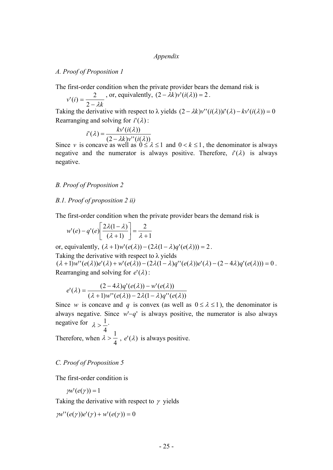#### *Appendix*

## *A. Proof of Proposition 1*

The first-order condition when the private provider bears the demand risk is

$$
v'(i) = \frac{2}{2 - \lambda k}
$$
, or, equivalently,  $(2 - \lambda k)v'(i(\lambda)) = 2$ .

Taking the derivative with respect to  $\lambda$  yields  $(2 - \lambda k)v''(i(\lambda))i'(\lambda) - kv'(i(\lambda)) = 0$ Rearranging and solving for  $i'(\lambda)$ :

$$
i'(\lambda) = \frac{k v'(i(\lambda))}{(2 - \lambda k) v''(i(\lambda))}
$$

Since *v* is concave as well as  $0 \le \lambda \le 1$  and  $0 < k \le 1$ , the denominator is always negative and the numerator is always positive. Therefore,  $i'(\lambda)$  is always negative.

#### *B. Proof of Proposition 2*

#### *B.1. Proof of proposition 2 ii)*

The first-order condition when the private provider bears the demand risk is

$$
w'(e) - q'(e) \left[ \frac{2\lambda(1-\lambda)}{(\lambda+1)} \right] = \frac{2}{\lambda+1}
$$

or, equivalently,  $(\lambda + 1)w'(e(\lambda)) - (2\lambda(1 - \lambda)q'(e(\lambda))) = 2$ . Taking the derivative with respect to  $\lambda$  yields

 $(\lambda + 1)w''(e(\lambda))e'(\lambda) + w'(e(\lambda)) - (2\lambda(1 - \lambda)q''(e(\lambda))e'(\lambda) - (2 - 4\lambda)q'(e(\lambda))) = 0$ . Rearranging and solving for  $e'(\lambda)$ :

$$
e'(\lambda) = \frac{(2-4\lambda)q'(e(\lambda)) - w'(e(\lambda))}{(\lambda+1)w''(e(\lambda)) - 2\lambda(1-\lambda)q''(e(\lambda))}
$$

Since *w* is concave and *q* is convex (as well as  $0 \le \lambda \le 1$ ), the denominator is always negative. Since  $w - q'$  is always positive, the numerator is also always negative for  $\lambda > \frac{1}{2}$ .  $\lambda > \frac{1}{\cdot}$ 

Therefore, when  $\lambda > \frac{1}{4}$ ,  $e'(\lambda)$  is always positive. 4 4  $\lambda > \frac{1}{4}$ 

#### *C. Proof of Proposition 5*

The first-order condition is

$$
pw'(e(\gamma))=1
$$

Taking the derivative with respect to  $\gamma$  yields

$$
yw''(e(\gamma))e'(\gamma) + w'(e(\gamma)) = 0
$$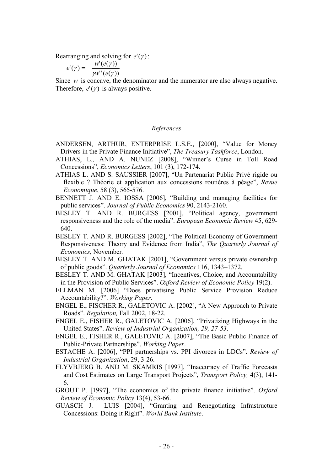Rearranging and solving for  $e'(\gamma)$ :

$$
e'(\gamma) = -\frac{w'(e(\gamma))}{\gamma w''(e(\gamma))}
$$

Since *w* is concave, the denominator and the numerator are also always negative. Therefore,  $e'(\gamma)$  is always positive.

#### *References*

- ANDERSEN, ARTHUR, ENTERPRISE L.S.E., [2000], "Value for Money Drivers in the Private Finance Initiative", *The Treasury Taskforce*, London.
- ATHIAS, L., AND A. NUNEZ [2008], "Winner's Curse in Toll Road Concessions", *Economics Letters*, 101 (3), 172-174.
- ATHIAS L. AND S. SAUSSIER [2007], "Un Partenariat Public Privé rigide ou flexible ? Théorie et application aux concessions routières à péage", *Revue Economique*, 58 (3), 565-576.
- BENNETT J. AND E. IOSSA [2006], "Building and managing facilities for public services". *Journal of Public Economics* 90, 2143-2160.
- BESLEY T. AND R. BURGESS [2001], "Political agency, government responsiveness and the role of the media". *European Economic Review* 45, 629- 640.
- BESLEY T. AND R. BURGESS [2002], "The Political Economy of Government Responsiveness: Theory and Evidence from India", *The Quarterly Journal of Economics,* November*.*
- BESLEY T. AND M. GHATAK [2001], "Government versus private ownership of public goods". *Quarterly Journal of Economics* 116, 1343–1372.
- BESLEY T. AND M. GHATAK [2003], "Incentives, Choice, and Accountability in the Provision of Public Services". *Oxford Review of Economic Policy* 19(2).
- ELLMAN M. [2006] "Does privatising Public Service Provision Reduce Accountability?". *Working Paper*.
- ENGEL E., FISCHER R., GALETOVIC A. [2002], "A New Approach to Private Roads". *Regulation,* Fall 2002, 18-22.
- ENGEL E., FISHER R., GALETOVIC A. [2006], "Privatizing Highways in the United States". *Review of Industrial Organization, 29, 27-53*.
- ENGEL E., FISHER R., GALETOVIC A. [2007], "The Basic Public Finance of Public-Private Partnerships". *Working Paper*.
- ESTACHE A. [2006], "PPI partnerships vs. PPI divorces in LDCs". *Review of Industrial Organization*, 29, 3-26.
- FLYVBJERG B. AND M. SKAMRIS [1997], "Inaccuracy of Traffic Forecasts and Cost Estimates on Large Transport Projects", *Transport Policy,* 4(3), 141- 6.
- GROUT P. [1997], "The economics of the private finance initiative". *Oxford Review of Economic Policy* 13(4), 53-66.
- GUASCH J. LUIS [2004], "Granting and Renegotiating Infrastructure Concessions: Doing it Right". *World Bank Institute*.